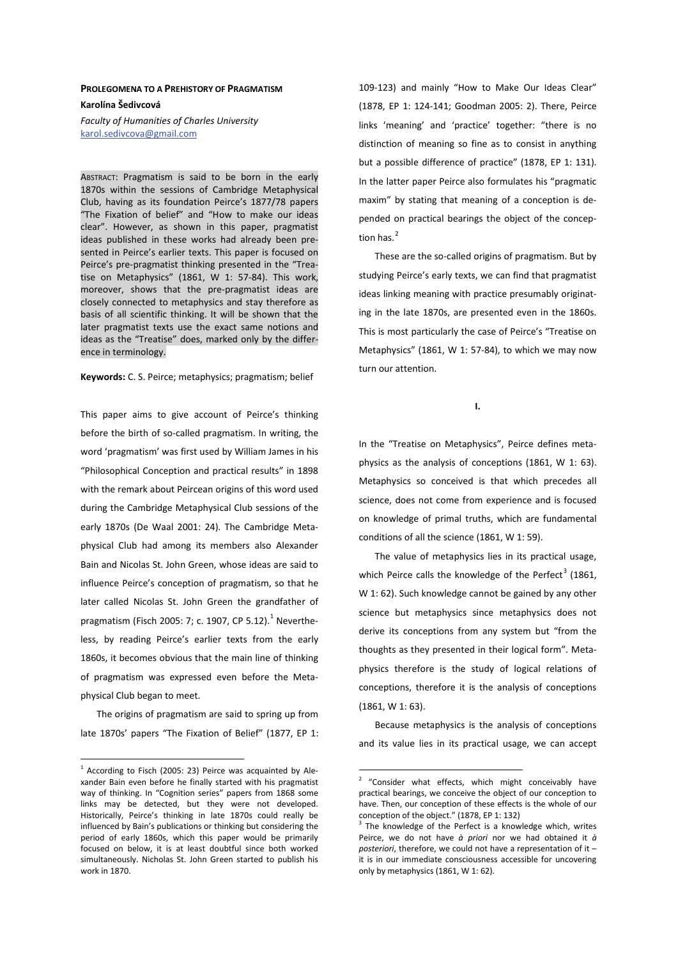## **PROLEGOMENA TO A PREHISTORY OF PRAGMATISM** Karolína Šedivcová

*Faculty of Humanities of Charles University*  karol.sedivcova@gmail.com

ABSTRACT: Pragmatism is said to be born in the early 1870s within the sessions of Cambridge Metaphysical Club, having as its foundation Peirce's 1877/78 papers "The Fixation of belief" and "How to make our ideas clear". However, as shown in this paper, pragmatist ideas published in these works had already been presented in Peirce's earlier texts. This paper is focused on Peirce's pre-pragmatist thinking presented in the "Treatise on Metaphysics" (1861, W 1: 57-84). This work, moreover, shows that the pre-pragmatist ideas are closely connected to metaphysics and stay therefore as basis of all scientific thinking. It will be shown that the later pragmatist texts use the exact same notions and ideas as the "Treatise" does, marked only by the difference in terminology.

Keywords: C. S. Peirce; metaphysics; pragmatism; belief

This paper aims to give account of Peirce's thinking before the birth of so-called pragmatism. In writing, the word 'pragmatism' was first used by William James in his "Philosophical Conception and practical results" in 1898 with the remark about Peircean origins of this word used during the Cambridge Metaphysical Club sessions of the early 1870s (De Waal 2001: 24). The Cambridge Metaphysical Club had among its members also Alexander Bain and Nicolas St. John Green, whose ideas are said to influence Peirce's conception of pragmatism, so that he later called Nicolas St. John Green the grandfather of pragmatism (Fisch 2005: 7; c. 1907, CP 5.12).<sup>1</sup> Nevertheless, by reading Peirce's earlier texts from the early 1860s, it becomes obvious that the main line of thinking of pragmatism was expressed even before the Metaphysical Club began to meet.

The origins of pragmatism are said to spring up from late 1870s' papers "The Fixation of Belief" (1877, EP 1:

109-123) and mainly "How to Make Our Ideas Clear" (1878, EP 1: 124-141; Goodman 2005: 2). There, Peirce links 'meaning' and 'practice' together: "there is no distinction of meaning so fine as to consist in anything but a possible difference of practice" (1878, EP 1: 131). In the latter paper Peirce also formulates his "pragmatic maxim" by stating that meaning of a conception is depended on practical bearings the object of the conception has. $<sup>2</sup>$ </sup>

These are the so-called origins of pragmatism. But by studying Peirce's early texts, we can find that pragmatist ideas linking meaning with practice presumably originating in the late 1870s, are presented even in the 1860s. This is most particularly the case of Peirce's "Treatise on Metaphysics" (1861, W 1: 57-84), to which we may now turn our attention.

 $\mathbf{I}$ 

In the "Treatise on Metaphysics", Peirce defines metaphysics as the analysis of conceptions (1861, W 1: 63). Metaphysics so conceived is that which precedes all science, does not come from experience and is focused on knowledge of primal truths, which are fundamental conditions of all the science (1861, W 1: 59).

The value of metaphysics lies in its practical usage, which Peirce calls the knowledge of the Perfect<sup>3</sup> (1861, W 1: 62). Such knowledge cannot be gained by any other science but metaphysics since metaphysics does not derive its conceptions from any system but "from the thoughts as they presented in their logical form". Metaphysics therefore is the study of logical relations of conceptions, therefore it is the analysis of conceptions (1861, W 1: 63).

Because metaphysics is the analysis of conceptions and its value lies in its practical usage, we can accept

 $1$  According to Fisch (2005: 23) Peirce was acquainted by Alexander Bain even before he finally started with his pragmatist way of thinking. In "Cognition series" papers from 1868 some links may be detected, but they were not developed. Historically, Peirce's thinking in late 1870s could really be influenced by Bain's publications or thinking but considering the period of early 1860s, which this paper would be primarily focused on below, it is at least doubtful since both worked simultaneously. Nicholas St. John Green started to publish his work in 1870.

<sup>&</sup>lt;sup>2</sup> "Consider what effects, which might conceivably have practical bearings, we conceive the object of our conception to have. Then, our conception of these effects is the whole of our conception of the object." (1878, EP 1: 132)

<sup>&</sup>lt;sup>3</sup> The knowledge of the Perfect is a knowledge which, writes Peirce, we do not have *à priori* nor we had obtained it *à posteriori*, therefore, we could not have a representation of it – it is in our immediate consciousness accessible for uncovering only by metaphysics (1861, W 1: 62).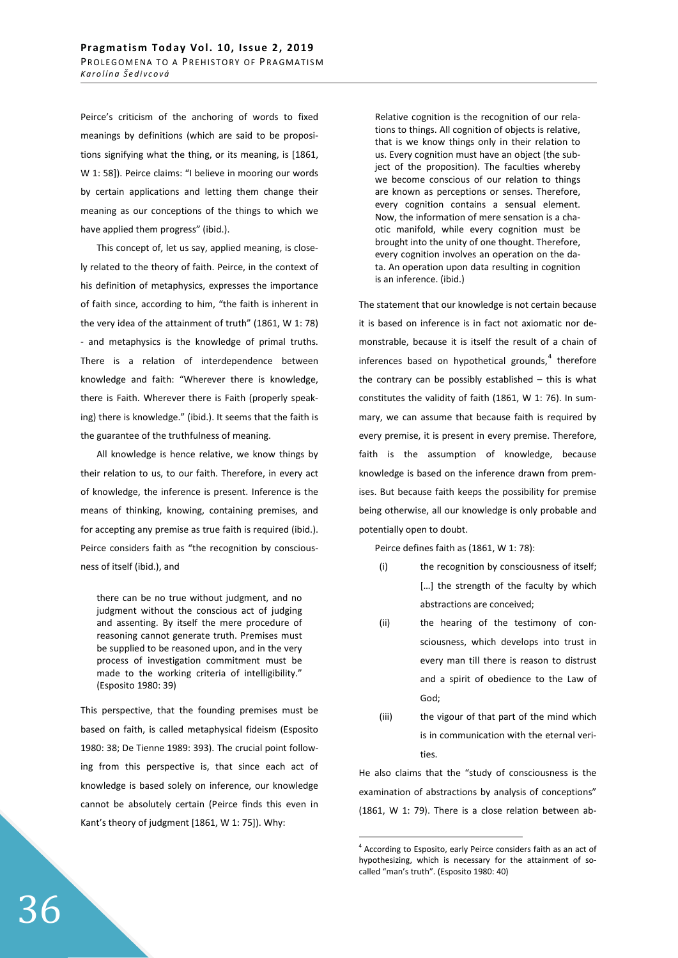Peirce's criticism of the anchoring of words to fixed meanings by definitions (which are said to be propositions signifying what the thing, or its meaning, is [1861, W 1: 58]). Peirce claims: "I believe in mooring our words by certain applications and letting them change their meaning as our conceptions of the things to which we have applied them progress" (ibid.).

This concept of, let us say, applied meaning, is closely related to the theory of faith. Peirce, in the context of his definition of metaphysics, expresses the importance of faith since, according to him, "the faith is inherent in the very idea of the attainment of truth" (1861, W 1: 78) - and metaphysics is the knowledge of primal truths. There is a relation of interdependence between knowledge and faith: "Wherever there is knowledge, there is Faith. Wherever there is Faith (properly speaking) there is knowledge." (ibid.). It seems that the faith is the guarantee of the truthfulness of meaning.

All knowledge is hence relative, we know things by their relation to us, to our faith. Therefore, in every act of knowledge, the inference is present. Inference is the means of thinking, knowing, containing premises, and for accepting any premise as true faith is required (ibid.). Peirce considers faith as "the recognition by consciousness of itself (ibid.), and

there can be no true without judgment, and no judgment without the conscious act of judging and assenting. By itself the mere procedure of reasoning cannot generate truth. Premises must be supplied to be reasoned upon, and in the very process of investigation commitment must be made to the working criteria of intelligibility." (Esposito 1980: 39)

This perspective, that the founding premises must be based on faith, is called metaphysical fideism (Esposito 1980: 38; De Tienne 1989: 393). The crucial point following from this perspective is, that since each act of knowledge is based solely on inference, our knowledge cannot be absolutely certain (Peirce finds this even in Kant's theory of judgment [1861, W 1: 75]). Why:

Relative cognition is the recognition of our relations to things. All cognition of objects is relative, that is we know things only in their relation to us. Every cognition must have an object (the subject of the proposition). The faculties whereby we become conscious of our relation to things are known as perceptions or senses. Therefore, every cognition contains a sensual element. Now, the information of mere sensation is a chaotic manifold, while every cognition must be brought into the unity of one thought. Therefore, every cognition involves an operation on the data. An operation upon data resulting in cognition is an inference. (ibid.)

The statement that our knowledge is not certain because it is based on inference is in fact not axiomatic nor demonstrable, because it is itself the result of a chain of inferences based on hypothetical grounds, $4$  therefore the contrary can be possibly established  $-$  this is what constitutes the validity of faith (1861, W 1: 76). In summary, we can assume that because faith is required by every premise, it is present in every premise. Therefore, faith is the assumption of knowledge, because knowledge is based on the inference drawn from premises. But because faith keeps the possibility for premise being otherwise, all our knowledge is only probable and potentially open to doubt.

Peirce defines faith as (1861, W 1: 78):

- (i) the recognition by consciousness of itself; [...] the strength of the faculty by which abstractions are conceived;
- (ii) the hearing of the testimony of consciousness, which develops into trust in every man till there is reason to distrust and a spirit of obedience to the Law of God;
- (iii) the vigour of that part of the mind which is in communication with the eternal verities.

He also claims that the "study of consciousness is the examination of abstractions by analysis of conceptions" (1861, W 1: 79). There is a close relation between ab-

<sup>&</sup>lt;sup>4</sup> According to Esposito, early Peirce considers faith as an act of hypothesizing, which is necessary for the attainment of socalled "man's truth". (Esposito 1980: 40)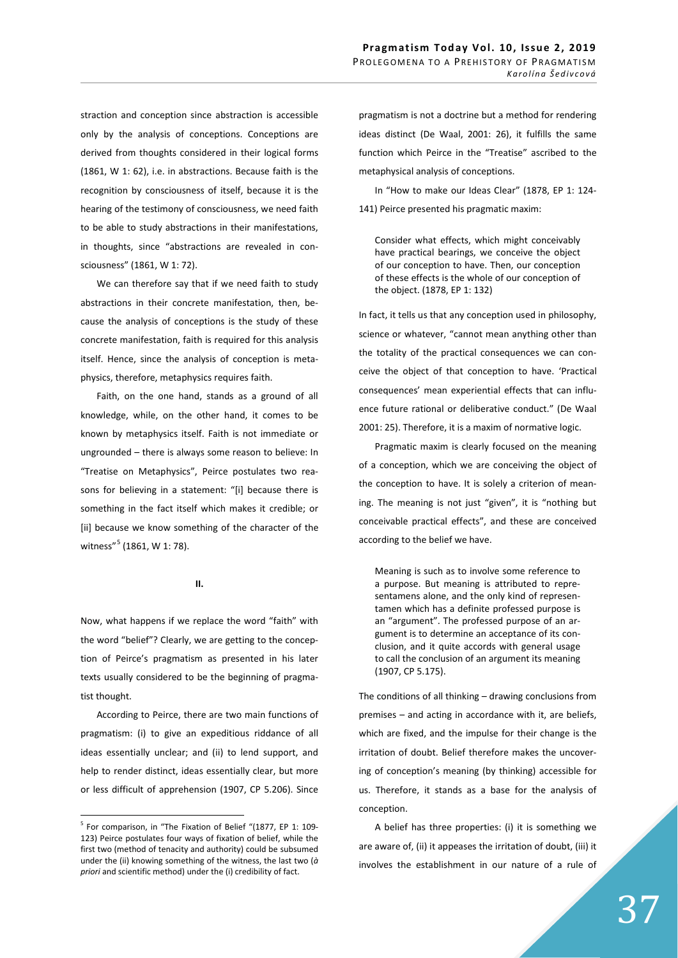straction and conception since abstraction is accessible only by the analysis of conceptions. Conceptions are derived from thoughts considered in their logical forms (1861, W 1: 62), i.e. in abstractions. Because faith is the recognition by consciousness of itself, because it is the hearing of the testimony of consciousness, we need faith to be able to study abstractions in their manifestations, in thoughts, since "abstractions are revealed in consciousness" (1861, W 1: 72).

We can therefore say that if we need faith to study abstractions in their concrete manifestation, then, because the analysis of conceptions is the study of these concrete manifestation, faith is required for this analysis itself. Hence, since the analysis of conception is metaphysics, therefore, metaphysics requires faith.

Faith, on the one hand, stands as a ground of all knowledge, while, on the other hand, it comes to be known by metaphysics itself. Faith is not immediate or ungrounded – there is always some reason to believe: In "Treatise on Metaphysics", Peirce postulates two reasons for believing in a statement: "[i] because there is something in the fact itself which makes it credible; or [ii] because we know something of the character of the witness"<sup>5</sup> (1861, W 1: 78).

**//͘**

Now, what happens if we replace the word "faith" with the word "belief"? Clearly, we are getting to the conception of Peirce's pragmatism as presented in his later texts usually considered to be the beginning of pragmatist thought.

According to Peirce, there are two main functions of pragmatism: (i) to give an expeditious riddance of all ideas essentially unclear; and (ii) to lend support, and help to render distinct, ideas essentially clear, but more or less difficult of apprehension (1907, CP 5.206). Since

pragmatism is not a doctrine but a method for rendering ideas distinct (De Waal, 2001: 26), it fulfills the same function which Peirce in the "Treatise" ascribed to the metaphysical analysis of conceptions.

In "How to make our Ideas Clear" (1878, EP 1: 124- 141) Peirce presented his pragmatic maxim:

Consider what effects, which might conceivably have practical bearings, we conceive the object of our conception to have. Then, our conception of these effects is the whole of our conception of the object. (1878, EP 1: 132)

In fact, it tells us that any conception used in philosophy, science or whatever, "cannot mean anything other than the totality of the practical consequences we can conceive the object of that conception to have. 'Practical consequences' mean experiential effects that can influence future rational or deliberative conduct." (De Waal 2001: 25). Therefore, it is a maxim of normative logic.

Pragmatic maxim is clearly focused on the meaning of a conception, which we are conceiving the object of the conception to have. It is solely a criterion of meaning. The meaning is not just "given", it is "nothing but conceivable practical effects", and these are conceived according to the belief we have.

Meaning is such as to involve some reference to a purpose. But meaning is attributed to representamens alone, and the only kind of representamen which has a definite professed purpose is an "argument". The professed purpose of an argument is to determine an acceptance of its conclusion, and it quite accords with general usage to call the conclusion of an argument its meaning (1907, CP 5.175).

The conditions of all thinking – drawing conclusions from premises – and acting in accordance with it, are beliefs, which are fixed, and the impulse for their change is the irritation of doubt. Belief therefore makes the uncovering of conception's meaning (by thinking) accessible for us. Therefore, it stands as a base for the analysis of conception.

A belief has three properties: (i) it is something we are aware of, (ii) it appeases the irritation of doubt, (iii) it involves the establishment in our nature of a rule of

<sup>&</sup>lt;sup>5</sup> For comparison, in "The Fixation of Belief "(1877, EP 1: 109-123) Peirce postulates four ways of fixation of belief, while the first two (method of tenacity and authority) could be subsumed under the (ii) knowing something of the witness, the last two (*à priori* and scientific method) under the (i) credibility of fact.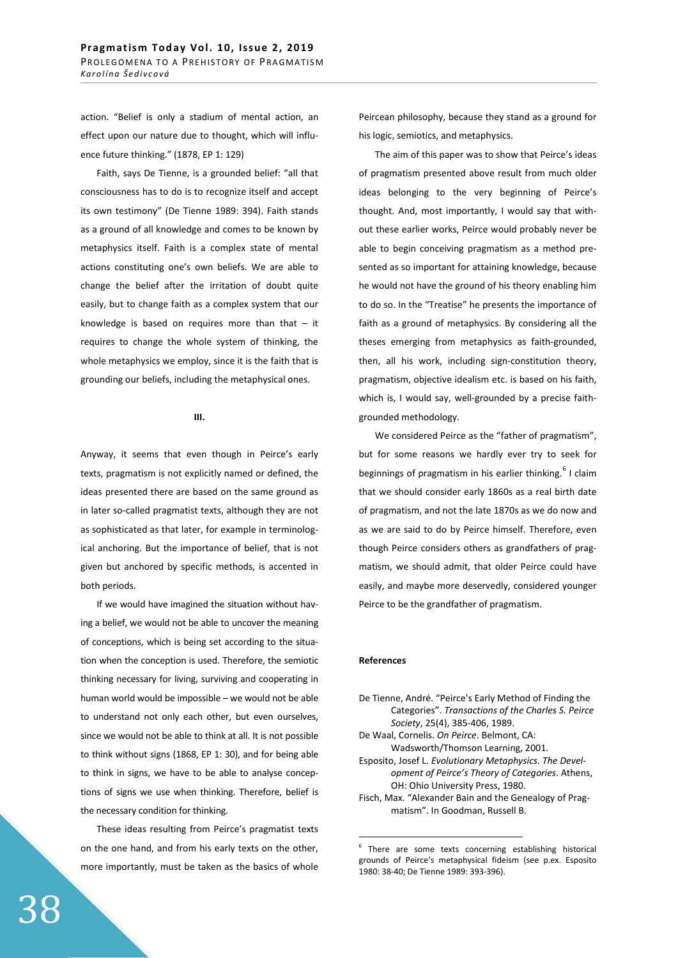action. "Belief is only a stadium of mental action, an effect upon our nature due to thought, which will influence future thinking." (1878, EP 1: 129)

Faith, says De Tienne, is a grounded belief: "all that consciousness has to do is to recognize itself and accept its own testimony" (De Tienne 1989: 394). Faith stands as a ground of all knowledge and comes to be known by metaphysics itself. Faith is a complex state of mental actions constituting one's own beliefs. We are able to change the belief after the irritation of doubt quite easily, but to change faith as a complex system that our knowledge is based on requires more than that  $-$  it requires to change the whole system of thinking, the whole metaphysics we employ, since it is the faith that is grounding our beliefs, including the metaphysical ones.

**///͘**

Anyway, it seems that even though in Peirce's early texts, pragmatism is not explicitly named or defined, the ideas presented there are based on the same ground as in later so-called pragmatist texts, although they are not as sophisticated as that later, for example in terminological anchoring. But the importance of belief, that is not given but anchored by specific methods, is accented in both periods.

If we would have imagined the situation without having a belief, we would not be able to uncover the meaning of conceptions, which is being set according to the situation when the conception is used. Therefore, the semiotic thinking necessary for living, surviving and cooperating in human world would be impossible – we would not be able to understand not only each other, but even ourselves, since we would not be able to think at all. It is not possible to think without signs (1868, EP 1: 30), and for being able to think in signs, we have to be able to analyse conceptions of signs we use when thinking. Therefore, belief is the necessary condition for thinking.

These ideas resulting from Peirce's pragmatist texts on the one hand, and from his early texts on the other, more importantly, must be taken as the basics of whole

Peircean philosophy, because they stand as a ground for his logic, semiotics, and metaphysics.

The aim of this paper was to show that Peirce's ideas of pragmatism presented above result from much older ideas belonging to the very beginning of Peirce's thought. And, most importantly, I would say that without these earlier works, Peirce would probably never be able to begin conceiving pragmatism as a method presented as so important for attaining knowledge, because he would not have the ground of his theory enabling him to do so. In the "Treatise" he presents the importance of faith as a ground of metaphysics. By considering all the theses emerging from metaphysics as faith-grounded, then, all his work, including sign-constitution theory, pragmatism, objective idealism etc. is based on his faith, which is, I would say, well-grounded by a precise faithgrounded methodology.

We considered Peirce as the "father of pragmatism", but for some reasons we hardly ever try to seek for beginnings of pragmatism in his earlier thinking.<sup>6</sup> I claim that we should consider early 1860s as a real birth date of pragmatism, and not the late 1870s as we do now and as we are said to do by Peirce himself. Therefore, even though Peirce considers others as grandfathers of pragmatism, we should admit, that older Peirce could have easily, and maybe more deservedly, considered younger Peirce to be the grandfather of pragmatism.

## **References**

- De Tienne, André. "Peirce's Early Method of Finding the Categories". *Transactions of the Charles S. Peirce Society*, 25(4), 385-406, 1989.
- De Waal, Cornelis. *On Peirce*. Belmont, CA: Wadsworth/Thomson Learning, 2001.
- Esposito, Josef L. *Evolutionary Metaphysics. The Development of Peirce's Theory of Categories*. Athens, OH: Ohio University Press, 1980.
- Fisch, Max. "Alexander Bain and the Genealogy of Pragmatism". In Goodman, Russell B.

<sup>6</sup> There are some texts concerning establishing historical grounds of Peirce's metaphysical fideism (see p.ex. Esposito 1980: 38-40; De Tienne 1989: 393-396).